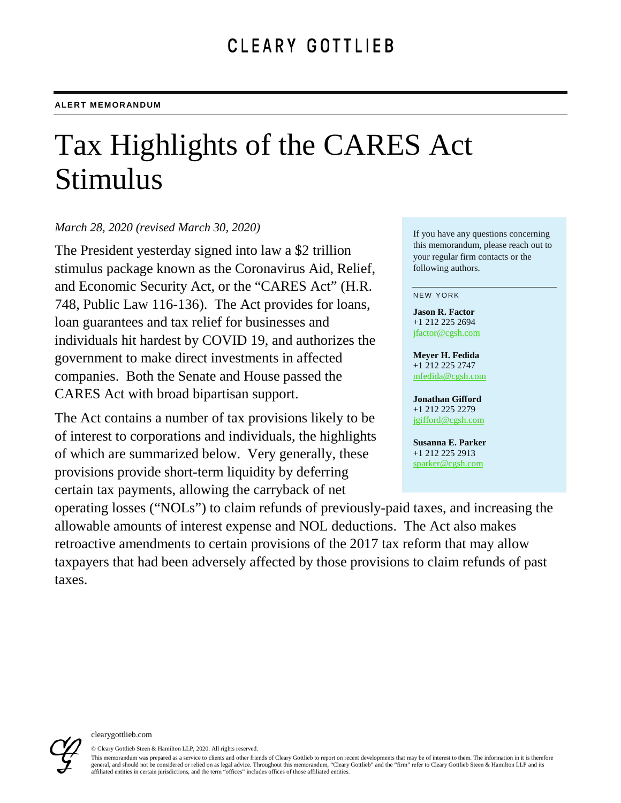# Tax Highlights of the CARES Act Stimulus

### *March 28, 2020 (revised March 30, 2020)*

The President yesterday signed into law a \$2 trillion stimulus package known as the Coronavirus Aid, Relief, and Economic Security Act, or the "CARES Act" (H.R. 748, Public Law 116-136). The Act provides for loans, loan guarantees and tax relief for businesses and individuals hit hardest by COVID 19, and authorizes the government to make direct investments in affected companies. Both the Senate and House passed the CARES Act with broad bipartisan support.

The Act contains a number of tax provisions likely to be of interest to corporations and individuals, the highlights of which are summarized below. Very generally, these provisions provide short-term liquidity by deferring certain tax payments, allowing the carryback of net

If you have any questions concerning this memorandum, please reach out to your regular firm contacts or the following authors.

#### NEW YORK

**Jason R. Factor** +1 212 225 2694 [jfactor@cgsh.com](mailto:jfactor@cgsh.com)

**Meyer H. Fedida** +1 212 225 2747 [mfedida@cgsh.com](mailto:mfedida@cgsh.com)

**Jonathan Gifford** +1 212 225 2279 [jgifford@cgsh.com](mailto:jgifford@cgsh.com)

**Susanna E. Parker** +1 212 225 2913 [sparker@cgsh.com](mailto:sparker@cgsh.com)

operating losses ("NOLs") to claim refunds of previously-paid taxes, and increasing the allowable amounts of interest expense and NOL deductions. The Act also makes retroactive amendments to certain provisions of the 2017 tax reform that may allow taxpayers that had been adversely affected by those provisions to claim refunds of past taxes.

© Cleary Gottlieb Steen & Hamilton LLP, 2020. All rights reserved.

This memorandum was prepared as a service to clients and other friends of Cleary Gottlieb to report on recent developments that may be of interest to them. The information in it is therefore general, and should not be considered or relied on as legal advice. Throughout this memorandum, "Cleary Gottlieb" and the "firm" refer to Cleary Gottlieb Steen & Hamilton LLP and its affiliated entities in certain jurisdictions, and the term "offices" includes offices of those affiliated entities.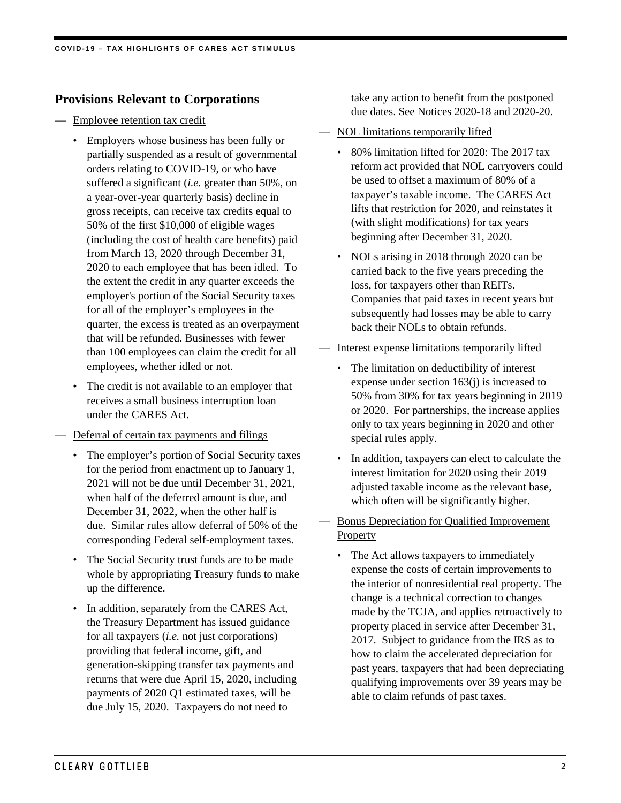## **Provisions Relevant to Corporations**

— Employee retention tax credit

- Employers whose business has been fully or partially suspended as a result of governmental orders relating to COVID-19, or who have suffered a significant (*i.e.* greater than 50%, on a year-over-year quarterly basis) decline in gross receipts, can receive tax credits equal to 50% of the first \$10,000 of eligible wages (including the cost of health care benefits) paid from March 13, 2020 through December 31, 2020 to each employee that has been idled. To the extent the credit in any quarter exceeds the employer's portion of the Social Security taxes for all of the employer's employees in the quarter, the excess is treated as an overpayment that will be refunded. Businesses with fewer than 100 employees can claim the credit for all employees, whether idled or not.
- The credit is not available to an employer that receives a small business interruption loan under the CARES Act.
- Deferral of certain tax payments and filings
	- The employer's portion of Social Security taxes for the period from enactment up to January 1, 2021 will not be due until December 31, 2021, when half of the deferred amount is due, and December 31, 2022, when the other half is due. Similar rules allow deferral of 50% of the corresponding Federal self-employment taxes.
	- The Social Security trust funds are to be made whole by appropriating Treasury funds to make up the difference.
	- In addition, separately from the CARES Act, the Treasury Department has issued guidance for all taxpayers (*i.e.* not just corporations) providing that federal income, gift, and generation-skipping transfer tax payments and returns that were due April 15, 2020, including payments of 2020 Q1 estimated taxes, will be due July 15, 2020. Taxpayers do not need to

take any action to benefit from the postponed due dates. See Notices 2020-18 and 2020-20.

- NOL limitations temporarily lifted
	- 80% limitation lifted for 2020: The 2017 tax reform act provided that NOL carryovers could be used to offset a maximum of 80% of a taxpayer's taxable income. The CARES Act lifts that restriction for 2020, and reinstates it (with slight modifications) for tax years beginning after December 31, 2020.
	- NOLs arising in 2018 through 2020 can be carried back to the five years preceding the loss, for taxpayers other than REITs. Companies that paid taxes in recent years but subsequently had losses may be able to carry back their NOLs to obtain refunds.
- Interest expense limitations temporarily lifted
	- The limitation on deductibility of interest expense under section 163(j) is increased to 50% from 30% for tax years beginning in 2019 or 2020. For partnerships, the increase applies only to tax years beginning in 2020 and other special rules apply.
	- In addition, taxpayers can elect to calculate the interest limitation for 2020 using their 2019 adjusted taxable income as the relevant base, which often will be significantly higher.
- Bonus Depreciation for Qualified Improvement **Property** 
	- The Act allows taxpayers to immediately expense the costs of certain improvements to the interior of nonresidential real property. The change is a technical correction to changes made by the TCJA, and applies retroactively to property placed in service after December 31, 2017. Subject to guidance from the IRS as to how to claim the accelerated depreciation for past years, taxpayers that had been depreciating qualifying improvements over 39 years may be able to claim refunds of past taxes.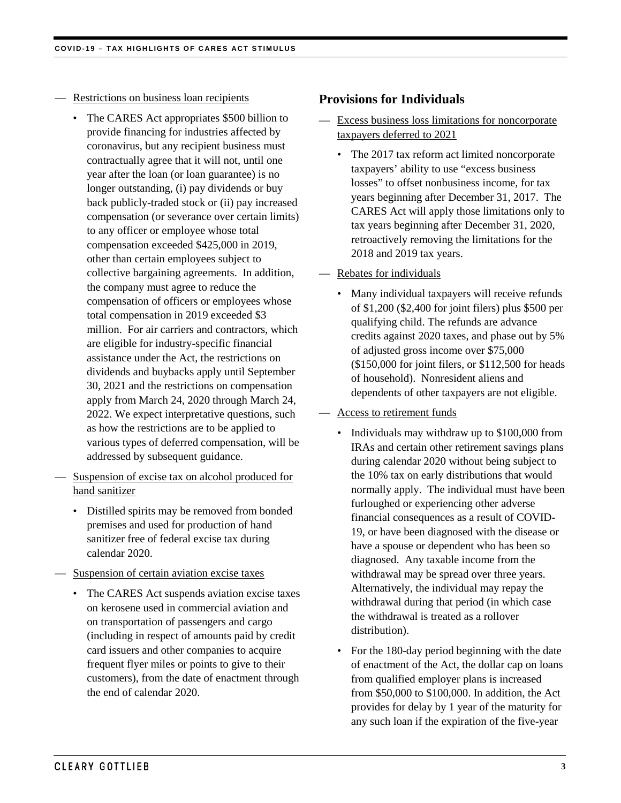- Restrictions on business loan recipients
	- The CARES Act appropriates \$500 billion to provide financing for industries affected by coronavirus, but any recipient business must contractually agree that it will not, until one year after the loan (or loan guarantee) is no longer outstanding, (i) pay dividends or buy back publicly-traded stock or (ii) pay increased compensation (or severance over certain limits) to any officer or employee whose total compensation exceeded \$425,000 in 2019, other than certain employees subject to collective bargaining agreements. In addition, the company must agree to reduce the compensation of officers or employees whose total compensation in 2019 exceeded \$3 million. For air carriers and contractors, which are eligible for industry-specific financial assistance under the Act, the restrictions on dividends and buybacks apply until September 30, 2021 and the restrictions on compensation apply from March 24, 2020 through March 24, 2022. We expect interpretative questions, such as how the restrictions are to be applied to various types of deferred compensation, will be addressed by subsequent guidance.
- Suspension of excise tax on alcohol produced for hand sanitizer
	- Distilled spirits may be removed from bonded premises and used for production of hand sanitizer free of federal excise tax during calendar 2020.
- Suspension of certain aviation excise taxes
	- The CARES Act suspends aviation excise taxes on kerosene used in commercial aviation and on transportation of passengers and cargo (including in respect of amounts paid by credit card issuers and other companies to acquire frequent flyer miles or points to give to their customers), from the date of enactment through the end of calendar 2020.

### **Provisions for Individuals**

- Excess business loss limitations for noncorporate taxpayers deferred to 2021
	- The 2017 tax reform act limited noncorporate taxpayers' ability to use "excess business losses" to offset nonbusiness income, for tax years beginning after December 31, 2017. The CARES Act will apply those limitations only to tax years beginning after December 31, 2020, retroactively removing the limitations for the 2018 and 2019 tax years.

— Rebates for individuals

• Many individual taxpayers will receive refunds of \$1,200 (\$2,400 for joint filers) plus \$500 per qualifying child. The refunds are advance credits against 2020 taxes, and phase out by 5% of adjusted gross income over \$75,000 (\$150,000 for joint filers, or \$112,500 for heads of household). Nonresident aliens and dependents of other taxpayers are not eligible.

#### — Access to retirement funds

- Individuals may withdraw up to \$100,000 from IRAs and certain other retirement savings plans during calendar 2020 without being subject to the 10% tax on early distributions that would normally apply. The individual must have been furloughed or experiencing other adverse financial consequences as a result of COVID-19, or have been diagnosed with the disease or have a spouse or dependent who has been so diagnosed. Any taxable income from the withdrawal may be spread over three years. Alternatively, the individual may repay the withdrawal during that period (in which case the withdrawal is treated as a rollover distribution).
- For the 180-day period beginning with the date of enactment of the Act, the dollar cap on loans from qualified employer plans is increased from \$50,000 to \$100,000. In addition, the Act provides for delay by 1 year of the maturity for any such loan if the expiration of the five-year